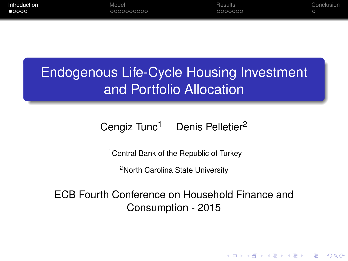<span id="page-0-0"></span>

| Introduction   | Model     | Results | Conclusion |
|----------------|-----------|---------|------------|
| $\bullet$ 0000 | 000000000 | 0000000 |            |
|                |           |         |            |

# Endogenous Life-Cycle Housing Investment and Portfolio Allocation

# Cengiz Tunc<sup>1</sup> Denis Pelletier<sup>2</sup>

<sup>1</sup> Central Bank of the Republic of Turkey

<sup>2</sup>North Carolina State University

ECB Fourth Conference on Household Finance and Consumption - 2015

**KORK ERKER ADAM ADA**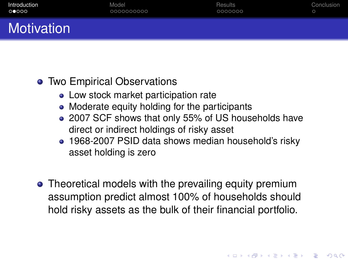| Introduction      | Model      | Results | Conclusion |
|-------------------|------------|---------|------------|
| 00000             | 0000000000 | 0000000 |            |
| <b>Motivation</b> |            |         |            |

# • Two Empirical Observations

- Low stock market participation rate
- Moderate equity holding for the participants
- 2007 SCF shows that only 55% of US households have direct or indirect holdings of risky asset
- 1968-2007 PSID data shows median household's risky asset holding is zero

**KORK ERKER ADAM ADA** 

• Theoretical models with the prevailing equity premium assumption predict almost 100% of households should hold risky assets as the bulk of their financial portfolio.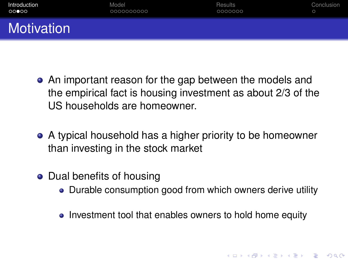| Introduction | Model      | Results | Conclusion |
|--------------|------------|---------|------------|
| 00000        | 0000000000 | 0000000 | $\circ$    |
| Motivation   |            |         |            |

- An important reason for the gap between the models and the empirical fact is housing investment as about 2/3 of the US households are homeowner.
- A typical household has a higher priority to be homeowner than investing in the stock market
- Dual benefits of housing
	- Durable consumption good from which owners derive utility

• Investment tool that enables owners to hold home equity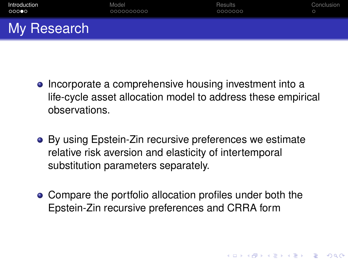| Introduction | Model      | Results | Conclusion |
|--------------|------------|---------|------------|
| $000$ 00     | 0000000000 | 0000000 |            |
| My Research  |            |         |            |

- Incorporate a comprehensive housing investment into a life-cycle asset allocation model to address these empirical observations.
- By using Epstein-Zin recursive preferences we estimate relative risk aversion and elasticity of intertemporal substitution parameters separately.
- Compare the portfolio allocation profiles under both the Epstein-Zin recursive preferences and CRRA form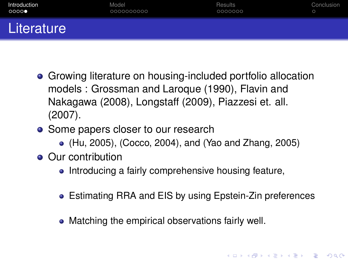| Introduction | Model      | Results | Conclusion |
|--------------|------------|---------|------------|
| 0000         | 0000000000 | 0000000 | $\circ$    |
| Literature   |            |         |            |

- Growing literature on housing-included portfolio allocation models : Grossman and Laroque (1990), Flavin and Nakagawa (2008), Longstaff (2009), Piazzesi et. all. (2007).
- Some papers closer to our research
	- (Hu, 2005), (Cocco, 2004), and (Yao and Zhang, 2005)
- Our contribution
	- Introducing a fairly comprehensive housing feature,
	- Estimating RRA and EIS by using Epstein-Zin preferences

• Matching the empirical observations fairly well.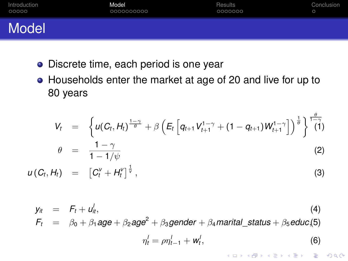<span id="page-5-0"></span>

| Introduction | Model      | Results | Conclusion |
|--------------|------------|---------|------------|
| 00000        | 0000000000 | 0000000 |            |
| Model        |            |         |            |

- **·** Discrete time, each period is one year
- Households enter the market at age of 20 and live for up to 80 years

$$
V_t = \left\{ u(C_t, H_t)^{\frac{1-\gamma}{\theta}} + \beta \left( E_t \left[ q_{t+1} V_{t+1}^{1-\gamma} + (1 - q_{t+1}) W_{t+1}^{1-\gamma} \right] \right)^{\frac{1}{\theta}} \right\}^{\frac{\theta}{1-\gamma}}
$$

$$
\theta = \frac{1 - \gamma}{1 - 1/\psi} \tag{2}
$$

 $u(C_t, H_t) = [C_t^V + H_t^V]^{\frac{1}{V}}$  $,$  (3)

$$
y_{it} = F_t + u_{it}^l,
$$
  
\n
$$
F_t = \beta_0 + \beta_1 age + \beta_2 age^2 + \beta_3 gender + \beta_4 \text{marital}_\text{status} + \beta_5 \text{educ}_s(5)
$$
  
\n
$$
\eta_t^l = \rho \eta_{t-1}^l + w_t^l,
$$
\n(6)

K ロ ▶ K @ ▶ K 할 ▶ K 할 ▶ | 할 | K 9 Q Q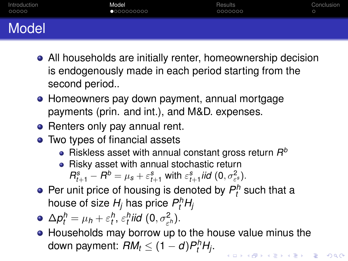| Introduction | Model      | <b>Results</b> | Conclusion |
|--------------|------------|----------------|------------|
| 00000        | 0000000000 | 0000000        |            |
| .            |            |                |            |

- Model
	- All households are initially renter, homeownership decision is endogenously made in each period starting from the second period..
	- Homeowners pay down payment, annual mortgage payments (prin. and int.), and M&D. expenses.
	- Renters only pay annual rent.
	- Two types of financial assets
		- Riskless asset with annual constant gross return *R b*
		- Risky asset with annual stochastic return

 $R_{t+1}^s - R^b = \mu_s + \varepsilon_{t+1}^s$  with  $\varepsilon_{t+1}^s$  *iid*  $(0, \sigma_{\varepsilon^s}^2)$ .

- Per unit price of housing is denoted by  $P_t^h$  such that a house of size  $H_j$  has price  $P_t^h H_j$
- $\Delta p_t^h = \mu_h + \varepsilon_t^h$ ,  $\varepsilon_t^h$ iid  $(0, \sigma_{\varepsilon^h}^2)$ .
- Households may borrow up to the house value minus the down payment:  $RM_t \leq (1-d)P_t^hH_j$ .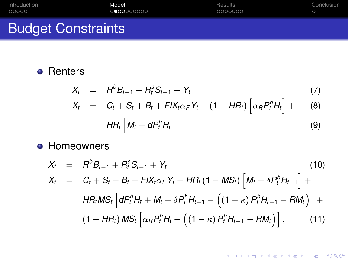| Introduction              | Model     | Results | Conclusion |
|---------------------------|-----------|---------|------------|
| 00000                     | 000000000 | 0000000 |            |
| <b>Budget Constraints</b> |           |         |            |

# **•** Renters

$$
X_t = R^b B_{t-1} + R_t^s S_{t-1} + Y_t \tag{7}
$$

$$
X_t = C_t + S_t + B_t + FIX_t \alpha_F Y_t + (1 - HR_t) \left[ \alpha_R P_t^h H_t \right] + (8)
$$

$$
HR_t\left[M_t+dP_t^hH_t\right]
$$
\n(9)

## **• Homeowners**

$$
X_{t} = R^{b}B_{t-1} + R_{t}^{s}S_{t-1} + Y_{t}
$$
\n
$$
X_{t} = C_{t} + S_{t} + B_{t} + FIX_{t}\alpha_{F}Y_{t} + HR_{t}(1 - MS_{t})\left[M_{t} + \delta P_{t}^{h}H_{t-1}\right] +
$$
\n
$$
HR_{t}MS_{t}\left[dP_{t}^{h}H_{t} + M_{t} + \delta P_{t}^{h}H_{t-1} - \left((1 - \kappa) P_{t}^{h}H_{t-1} - RM_{t}\right)\right] +
$$
\n
$$
(1 - HR_{t}) MS_{t}\left[\alpha_{R}P_{t}^{h}H_{t} - \left((1 - \kappa) P_{t}^{h}H_{t-1} - RM_{t}\right)\right],
$$
\n
$$
(11)
$$

K ロ ▶ K @ ▶ K 할 > K 할 > 1 할 > 9 Q Q\*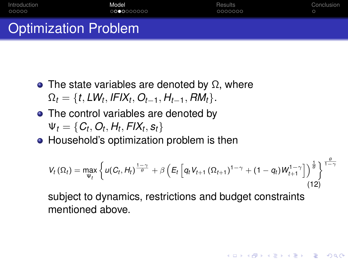| Introduction                | Model      | Results | Conclusion |
|-----------------------------|------------|---------|------------|
| 00000                       | 0000000000 | 0000000 |            |
| <b>Optimization Problem</b> |            |         |            |

- The state variables are denoted by  $\Omega$ , where  $\Omega_t = \{t, LW_t, IFIX_t, O_{t-1}, H_{t-1}, RM_t\}.$
- The control variables are denoted by  $\Psi_t = \{C_t, O_t, H_t, FIX_t, s_t\}$
- Household's optimization problem is then

$$
V_t(\Omega_t) = \max_{\Psi_t} \left\{ u(C_t, H_t)^{\frac{1-\gamma}{\theta}} + \beta \left( E_t \left[ q_t V_{t+1} (\Omega_{t+1})^{1-\gamma} + (1-q_t) W_{t+1}^{1-\gamma} \right] \right)^{\frac{1}{\theta}} \right\}^{\frac{\theta}{1-\gamma}}
$$
(12)

**KOD KOD KED KED E VOOR** 

subject to dynamics, restrictions and budget constraints mentioned above.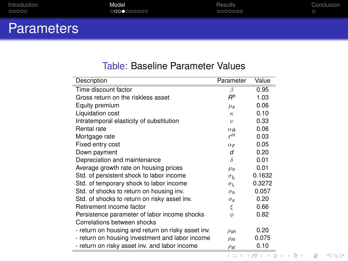| Introduction | Model      | Results | Conclusion |
|--------------|------------|---------|------------|
| 00000        | 0000000000 | 0000000 |            |
|              |            |         |            |

# **Parameters**

٠

#### Table: Baseline Parameter Values

| Description                                        | Parameter          | Value  |
|----------------------------------------------------|--------------------|--------|
| Time discount factor                               | B                  | 0.95   |
| Gross return on the riskless asset                 | $R^b$              | 1.03   |
| Equity premium                                     | $\mu_{s}$          | 0.06   |
| Liquidation cost                                   | $\kappa$           | 0.10   |
| Intratemporal elasticity of substitution           | $\boldsymbol{\nu}$ | 0.33   |
| Rental rate                                        | $\alpha_B$         | 0.06   |
| Mortgage rate                                      | r <sup>m</sup>     | 0.03   |
| Fixed entry cost                                   | $\alpha_F$         | 0.05   |
| Down payment                                       | d                  | 0.20   |
| Depreciation and maintenance                       | δ                  | 0.01   |
| Average growth rate on housing prices              | $\mu_h$            | 0.01   |
| Std. of persistent shock to labor income           | $\sigma_b$         | 0.1632 |
| Std. of temporary shock to labor income            | $\sigma_h$         | 0.3272 |
| Std. of shocks to return on housing inv.           | $\sigma_h$         | 0.057  |
| Std. of shocks to return on risky asset inv.       | $\sigma_{\rm s}$   | 0.20   |
| Retirement income factor                           | ξ                  | 0.66   |
| Persistence parameter of labor income shocks       | $\phi$             | 0.82   |
| Correlations between shocks                        |                    |        |
| - return on housing and return on risky asset inv. | $\rho_{sh}$        | 0.20   |
| - return on housing investment and labor income    | $\rho_{hl}$        | 0.075  |
| - return on risky asset inv. and labor income      | $\rho_{sl}$        | 0.10   |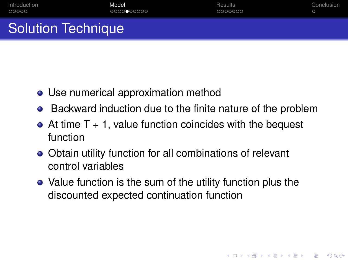| Introduction              | Model      | Results | Conclusion |
|---------------------------|------------|---------|------------|
| 00000                     | 0000000000 | 0000000 |            |
| <b>Solution Technique</b> |            |         |            |

- Use numerical approximation method
- Backward induction due to the finite nature of the problem
- $\bullet$  At time T + 1, value function coincides with the bequest function
- Obtain utility function for all combinations of relevant control variables
- Value function is the sum of the utility function plus the discounted expected continuation function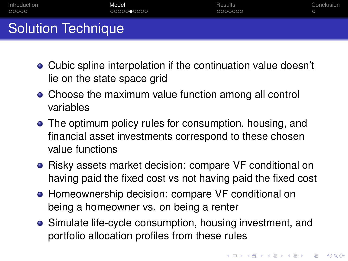| Introduction              | Model      | Results | Conclusion |
|---------------------------|------------|---------|------------|
| 00000                     | 0000000000 | 0000000 |            |
| <b>Solution Technique</b> |            |         |            |

- Cubic spline interpolation if the continuation value doesn't lie on the state space grid
- Choose the maximum value function among all control variables
- The optimum policy rules for consumption, housing, and financial asset investments correspond to these chosen value functions
- Risky assets market decision: compare VF conditional on having paid the fixed cost vs not having paid the fixed cost
- **Homeownership decision: compare VF conditional on** being a homeowner vs. on being a renter
- Simulate life-cycle consumption, housing investment, and portfolio allocation profiles from these rules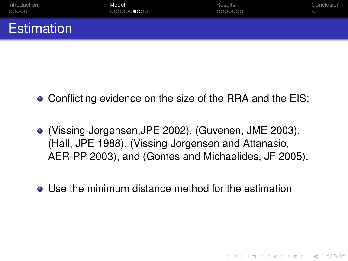| Introduction      | Model      | <b>Results</b> | Conclusion |
|-------------------|------------|----------------|------------|
| 00000             | 0000000000 | 0000000        |            |
| <b>Estimation</b> |            |                |            |

- Conflicting evidence on the size of the RRA and the EIS:
- (Vissing-Jorgensen,JPE 2002), (Guvenen, JME 2003), (Hall, JPE 1988), (Vissing-Jorgensen and Attanasio, AER-PP 2003), and (Gomes and Michaelides, JF 2005).
- **Use the minimum distance method for the estimation**

**KOD KARD KED KED BE YOUR**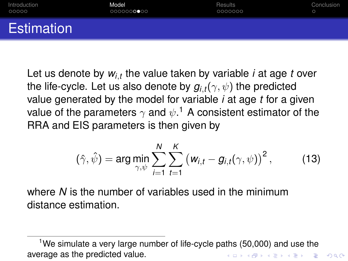| Introduction      | Model      | Results | Conclusion |
|-------------------|------------|---------|------------|
| 00000             | 0000000000 | 0000000 |            |
| <b>Estimation</b> |            |         |            |

Let us denote by *wi*,*<sup>t</sup>* the value taken by variable *i* at age *t* over the life-cycle. Let us also denote by  $g_{i,t}(\gamma, \psi)$  the predicted value generated by the model for variable *i* at age *t* for a given value of the parameters  $\gamma$  and  $\psi. ^1$  A consistent estimator of the RRA and EIS parameters is then given by

$$
(\hat{\gamma},\hat{\psi}) = \arg\min_{\gamma,\psi} \sum_{i=1}^N \sum_{t=1}^K \left(w_{i,t} - g_{i,t}(\gamma,\psi)\right)^2, \tag{13}
$$

where *N* is the number of variables used in the minimum distance estimation.

<sup>&</sup>lt;sup>1</sup>We simulate a very large number of life-cycle paths  $(50,000)$  and use the average as the predicted value.K ロ X x 4 D X X 원 X X 원 X 원 X 2 D X Q Q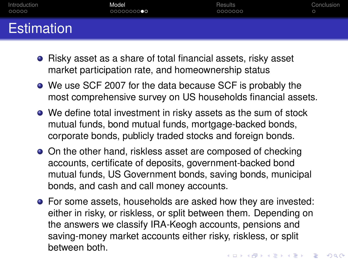| Introduction | Model      | Results | Conclusion |
|--------------|------------|---------|------------|
| 00000        | 0000000000 | 0000000 |            |
| Estimation   |            |         |            |

- Risky asset as a share of total financial assets, risky asset market participation rate, and homeownership status
- We use SCF 2007 for the data because SCF is probably the most comprehensive survey on US households financial assets.
- We define total investment in risky assets as the sum of stock mutual funds, bond mutual funds, mortgage-backed bonds, corporate bonds, publicly traded stocks and foreign bonds.
- On the other hand, riskless asset are composed of checking accounts, certificate of deposits, government-backed bond mutual funds, US Government bonds, saving bonds, municipal bonds, and cash and call money accounts.
- **•** For some assets, households are asked how they are invested: either in risky, or riskless, or split between them. Depending on the answers we classify IRA-Keogh accounts, pensions and saving-money market accounts either risky, riskless, or split between both.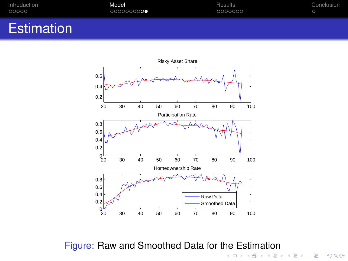<span id="page-15-0"></span>

| Introduction | Model     | Results | Conclusion |
|--------------|-----------|---------|------------|
| 00000        | 000000000 | 0000000 |            |
|              |           |         |            |

# **Estimation**



Figure: Raw and Smoothed Data for the Estimation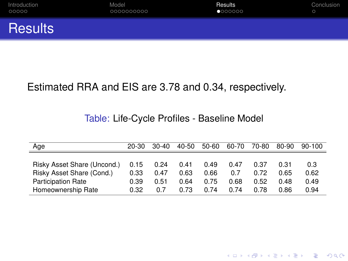<span id="page-16-0"></span>

| Introduction   | Model      | Results | Conclusion |
|----------------|------------|---------|------------|
| 00000          | 0000000000 | 0000000 |            |
| <b>Results</b> |            |         |            |

## Estimated RRA and EIS are 3.78 and 0.34, respectively.

#### Table: Life-Cycle Profiles - Baseline Model

| Age                         | 20-30 | $30-40$ | 40-50 | $50 - 60$ | 60-70 | 70-80 | 80-90 | $90-100$ |
|-----------------------------|-------|---------|-------|-----------|-------|-------|-------|----------|
|                             |       |         |       |           |       |       |       |          |
| Risky Asset Share (Uncond.) | 0.15  | 0.24    | 0.41  | 0.49      | 0.47  | 0.37  | 0.31  | 0.3      |
| Risky Asset Share (Cond.)   | 0.33  | 0.47    | 0.63  | 0.66      | 0.7   | 0.72  | 0 65  | 0.62     |
| <b>Participation Rate</b>   | 0.39  | 0.51    | 0.64  | 0.75      | 0.68  | 0.52  | 0.48  | 0.49     |
| Homeownership Rate          | 0.32  | 0.7     | 0.73  | 0.74      | 0 74  | 0.78  | 0.86  | 0.94     |

K ロ ▶ K @ ▶ K 할 ▶ K 할 ▶ 이 할 → 9 Q Q\*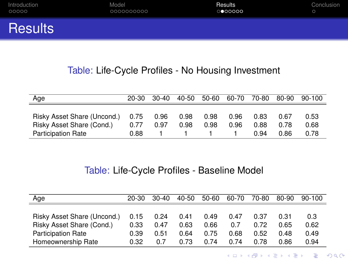<span id="page-17-0"></span>

| Introduction   | Model      | Results | Conclusion |
|----------------|------------|---------|------------|
| 00000          | 0000000000 | 0000000 |            |
| <b>Results</b> |            |         |            |

#### Table: Life-Cycle Profiles - No Housing Investment

| Age                         | $20 - 30$ | $30-40$ | 40-50 | 50-60 | 60-70 | 70-80 | 80-90 | $90-100$ |
|-----------------------------|-----------|---------|-------|-------|-------|-------|-------|----------|
|                             |           |         |       |       |       |       |       |          |
| Risky Asset Share (Uncond.) | 0.75      | 0.96    | 0.98  | 0.98  | 0.96  | 0.83  | 0.67  | 0.53     |
| Risky Asset Share (Cond.)   | 0.77      | 0.97    | 0.98  | 0.98  | 0.96  | 0.88  | 0.78  | 0.68     |
| <b>Participation Rate</b>   | 0.88      |         |       |       |       | 0.94  | 0.86  | በ 78     |

#### Table: Life-Cycle Profiles - Baseline Model

| Age                         | 20-30 | $30-40$ | 40-50 | 50-60 | 60-70 | 70-80 | 80-90 | $90 - 100$ |
|-----------------------------|-------|---------|-------|-------|-------|-------|-------|------------|
|                             |       |         |       |       |       |       |       |            |
| Risky Asset Share (Uncond.) | 0.15  | 0.24    | 0.41  | 0.49  | 0.47  | 0.37  | 0.31  | 0.3        |
| Risky Asset Share (Cond.)   | 0.33  | 0.47    | 0.63  | 0.66  | 0.7   | 0.72  | 0.65  | 0.62       |
| <b>Participation Rate</b>   | 0.39  | 0.51    | 0.64  | 0.75  | 0.68  | 0.52  | 0.48  | 0.49       |
| Homeownership Rate          | 0.32  | 0.7     | 0.73  | 0 74  | 0 74  | 0.78  | 0.86  | 0.94       |

K ロ X x (日 X X B X X B X X B X O Q O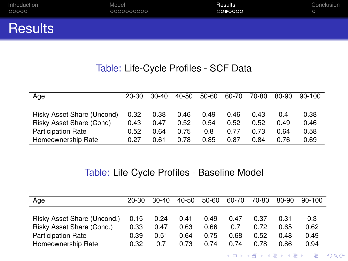| Introduction   | Model      | Results | Conclusion |
|----------------|------------|---------|------------|
| 00000          | 0000000000 | 0000000 |            |
| <b>Results</b> |            |         |            |

### Table: Life-Cycle Profiles - SCF Data

| Age                        | $20 - 30$ | $30-40$ | $40 - 50$ | $50-60$ | 60-70 | 70-80 | 80-90 | $90 - 100$ |
|----------------------------|-----------|---------|-----------|---------|-------|-------|-------|------------|
|                            |           |         |           |         |       |       |       |            |
| Risky Asset Share (Uncond) | 0.32      | 0.38    | 0.46      | 0.49    | 0.46  | 0.43  | በ 4   | 0.38       |
| Risky Asset Share (Cond)   | 0.43      | በ 47    | 0.52      | 0.54    | 0.52  | 0.52  | 0.49  | 0.46       |
| <b>Participation Rate</b>  | 0.52      | 0.64    | 0.75      | 0.8     | 0.77  | 0.73  | በ 64  | 0.58       |
| Homeownership Rate         | 0.27      | 0.61    | 0.78      | 0.85    | 0.87  | 0.84  | 0.76  | 0.69       |

#### Table: Life-Cycle Profiles - Baseline Model

| Age                         | 20-30 | $30-40$ | 40-50 | $50 - 60$ | 60-70 | 70-80 | 80-90 | $90-100$ |
|-----------------------------|-------|---------|-------|-----------|-------|-------|-------|----------|
|                             |       |         |       |           |       |       |       |          |
| Risky Asset Share (Uncond.) | 0.15  | 0.24    | 0.41  | 0.49      | 0.47  | 0.37  | 0.31  | 0.3      |
| Risky Asset Share (Cond.)   | 0.33  | 0.47    | 0.63  | 0.66      | 0.7   | 0.72  | 0.65  | 0.62     |
| <b>Participation Rate</b>   | 0.39  | 0.51    | 0.64  | 0.75      | 0.68  | 0.52  | 0.48  | 0.49     |
| Homeownership Rate          | 0.32  | 0.7     | 0.73  | 0.74      | 0.74  | 0.78  | 0.86  | 0.94     |

K ロ ▶ K @ ▶ K 할 ▶ K 할 ▶ . 할 . ⊙ Q @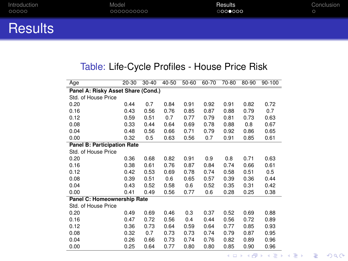| Introduction   | Model      | Results | Conclusion |
|----------------|------------|---------|------------|
| 00000          | 0000000000 | 0000000 |            |
| <b>Results</b> |            |         |            |

### Table: Life-Cycle Profiles - House Price Risk

| Age                                | $20 - 30$ | $30 - 40$ | $40 - 50$ | $50 - 60$ | 60-70 | 70-80 | 80-90 | $90 - 100$ |  |  |
|------------------------------------|-----------|-----------|-----------|-----------|-------|-------|-------|------------|--|--|
| Panel A: Risky Asset Share (Cond.) |           |           |           |           |       |       |       |            |  |  |
| Std. of House Price                |           |           |           |           |       |       |       |            |  |  |
| 0.20                               | 0.44      | 0.7       | 0.84      | 0.91      | 0.92  | 0.91  | 0.82  | 0.72       |  |  |
| 0.16                               | 0.43      | 0.56      | 0.76      | 0.85      | 0.87  | 0.88  | 0.79  | 0.7        |  |  |
| 0.12                               | 0.59      | 0.51      | 0.7       | 0.77      | 0.79  | 0.81  | 0.73  | 0.63       |  |  |
| 0.08                               | 0.33      | 0.44      | 0.64      | 0.69      | 0.78  | 0.88  | 0.8   | 0.67       |  |  |
| 0.04                               | 0.48      | 0.56      | 0.66      | 0.71      | 0.79  | 0.92  | 0.86  | 0.65       |  |  |
| 0.00                               | 0.32      | 0.5       | 0.63      | 0.56      | 0.7   | 0.91  | 0.85  | 0.61       |  |  |
| <b>Panel B: Participation Rate</b> |           |           |           |           |       |       |       |            |  |  |
| Std. of House Price                |           |           |           |           |       |       |       |            |  |  |
| 0.20                               | 0.36      | 0.68      | 0.82      | 0.91      | 0.9   | 0.8   | 0.71  | 0.63       |  |  |
| 0.16                               | 0.38      | 0.61      | 0.76      | 0.87      | 0.84  | 0.74  | 0.66  | 0.61       |  |  |
| 0.12                               | 0.42      | 0.53      | 0.69      | 0.78      | 0.74  | 0.58  | 0.51  | 0.5        |  |  |
| 0.08                               | 0.39      | 0.51      | 0.6       | 0.65      | 0.57  | 0.39  | 0.36  | 0.44       |  |  |
| 0.04                               | 0.43      | 0.52      | 0.58      | 0.6       | 0.52  | 0.35  | 0.31  | 0.42       |  |  |
| 0.00                               | 0.41      | 0.49      | 0.56      | 0.77      | 0.6   | 0.28  | 0.25  | 0.38       |  |  |
| Panel C: Homeownership Rate        |           |           |           |           |       |       |       |            |  |  |
| Std. of House Price                |           |           |           |           |       |       |       |            |  |  |
| 0.20                               | 0.49      | 0.69      | 0.46      | 0.3       | 0.37  | 0.52  | 0.69  | 0.88       |  |  |
| 0.16                               | 0.47      | 0.72      | 0.56      | 0.4       | 0.44  | 0.56  | 0.72  | 0.89       |  |  |
| 0.12                               | 0.36      | 0.73      | 0.64      | 0.59      | 0.64  | 0.77  | 0.85  | 0.93       |  |  |
| 0.08                               | 0.32      | 0.7       | 0.73      | 0.73      | 0.74  | 0.79  | 0.87  | 0.95       |  |  |
| 0.04                               | 0.26      | 0.66      | 0.73      | 0.74      | 0.76  | 0.82  | 0.89  | 0.96       |  |  |
| 0.00                               | 0.25      | 0.64      | 0.77      | 0.80      | 0.80  | 0.85  | 0.90  | 0.96       |  |  |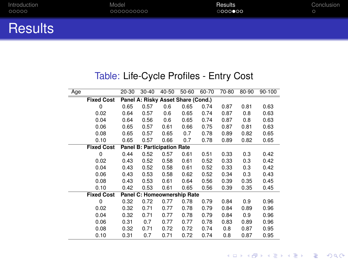| Introduction   | Model      | Results | Conclusion |
|----------------|------------|---------|------------|
| 00000          | 0000000000 | 0000000 |            |
| <b>Results</b> |            |         |            |

## Table: Life-Cycle Profiles - Entry Cost

| Age |                   | 20-30                              | $30 - 40$                   | 40-50 | 50-60 | 60-70 | 70-80 | 80-90 | 90-100 |  |  |  |
|-----|-------------------|------------------------------------|-----------------------------|-------|-------|-------|-------|-------|--------|--|--|--|
|     | <b>Fixed Cost</b> | Panel A: Risky Asset Share (Cond.) |                             |       |       |       |       |       |        |  |  |  |
|     | 0                 | 0.65                               | 0.57                        | 0.6   | 0.65  | 0.74  | 0.87  | 0.81  | 0.63   |  |  |  |
|     | 0.02              | 0.64                               | 0.57                        | 0.6   | 0.65  | 0.74  | 0.87  | 0.8   | 0.63   |  |  |  |
|     | 0.04              | 0.64                               | 0.56                        | 0.6   | 0.65  | 0.74  | 0.87  | 0.8   | 0.63   |  |  |  |
|     | 0.06              | 0.65                               | 0.57                        | 0.61  | 0.66  | 0.75  | 0.87  | 0.81  | 0.63   |  |  |  |
|     | 0.08              | 0.65                               | 0.57                        | 0.65  | 0.7   | 0.78  | 0.89  | 0.82  | 0.65   |  |  |  |
|     | 0.10              | 0.65                               | 0.57                        | 0.66  | 0.7   | 0.78  | 0.89  | 0.82  | 0.65   |  |  |  |
|     | <b>Fixed Cost</b> |                                    | Panel B: Participation Rate |       |       |       |       |       |        |  |  |  |
|     | $\Omega$          | 0.44                               | 0.52                        | 0.57  | 0.61  | 0.51  | 0.33  | 0.3   | 0.42   |  |  |  |
|     | 0.02              | 0.43                               | 0.52                        | 0.58  | 0.61  | 0.52  | 0.33  | 0.3   | 0.42   |  |  |  |
|     | 0.04              | 0.43                               | 0.52                        | 0.58  | 0.61  | 0.52  | 0.33  | 0.3   | 0.42   |  |  |  |
|     | 0.06              | 0.43                               | 0.53                        | 0.58  | 0.62  | 0.52  | 0.34  | 0.3   | 0.43   |  |  |  |
|     | 0.08              | 0.43                               | 0.53                        | 0.61  | 0.64  | 0.56  | 0.39  | 0.35  | 0.45   |  |  |  |
|     | 0.10              | 0.42                               | 0.53                        | 0.61  | 0.65  | 0.56  | 0.39  | 0.35  | 0.45   |  |  |  |
|     | <b>Fixed Cost</b> |                                    | Panel C: Homeownership Rate |       |       |       |       |       |        |  |  |  |
|     | 0                 | 0.32                               | 0.72                        | 0.77  | 0.78  | 0.79  | 0.84  | 0.9   | 0.96   |  |  |  |
|     | 0.02              | 0.32                               | 0.71                        | 0.77  | 0.78  | 0.79  | 0.84  | 0.89  | 0.96   |  |  |  |
|     | 0.04              | 0.32                               | 0.71                        | 0.77  | 0.78  | 0.79  | 0.84  | 0.9   | 0.96   |  |  |  |
|     | 0.06              | 0.31                               | 0.7                         | 0.77  | 0.77  | 0.78  | 0.83  | 0.89  | 0.96   |  |  |  |
|     | 0.08              | 0.32                               | 0.71                        | 0.72  | 0.72  | 0.74  | 0.8   | 0.87  | 0.95   |  |  |  |
|     | 0.10              | 0.31                               | 0.7                         | 0.71  | 0.72  | 0.74  | 0.8   | 0.87  | 0.95   |  |  |  |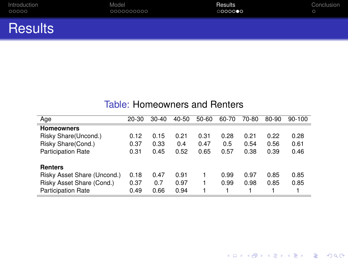<span id="page-21-0"></span>

| Introduction | Model      | Results | Conclusion |
|--------------|------------|---------|------------|
| 00000        | 0000000000 | 0000000 | $\sim$     |
|              |            |         |            |

**Results** 

#### Table: Homeowners and Renters

| Age                         | 20-30 | $30 - 40$ | 40-50 | 50-60 | 60-70 | 70-80 | 80-90 | $90-100$ |
|-----------------------------|-------|-----------|-------|-------|-------|-------|-------|----------|
| <b>Homeowners</b>           |       |           |       |       |       |       |       |          |
| Risky Share(Uncond.)        | 0.12  | 0.15      | 0.21  | 0.31  | 0.28  | 0.21  | 0.22  | 0.28     |
| Risky Share(Cond.)          | 0.37  | 0.33      | 0.4   | 0.47  | 0.5   | 0.54  | 0.56  | 0.61     |
| <b>Participation Rate</b>   | 0.31  | 0.45      | 0.52  | 0.65  | 0.57  | 0.38  | 0.39  | 0.46     |
| <b>Renters</b>              |       |           |       |       |       |       |       |          |
| Risky Asset Share (Uncond.) | 0.18  | 0.47      | 0.91  |       | 0.99  | 0.97  | 0.85  | 0.85     |
| Risky Asset Share (Cond.)   | 0.37  | 0.7       | 0.97  |       | 0.99  | 0.98  | 0.85  | 0.85     |
| <b>Participation Rate</b>   | 0.49  | 0.66      | 0.94  |       |       |       |       |          |

**Kロトメ部トメミトメミト ミニのQC**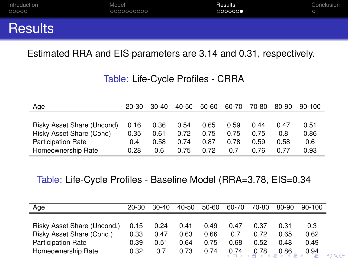<span id="page-22-0"></span>

| Introduction   | Model      | Results | Conclusion |
|----------------|------------|---------|------------|
| 00000          | 0000000000 | 000000  |            |
| <b>Results</b> |            |         |            |

Estimated RRA and EIS parameters are 3.14 and 0.31, respectively.

Table: Life-Cycle Profiles - CRRA

| Age                        | 20-30 | $30-40$ | 40-50 | 50-60 | 60-70 | 70-80 | 80-90 | $90-100$ |
|----------------------------|-------|---------|-------|-------|-------|-------|-------|----------|
|                            |       |         |       |       |       |       |       |          |
| Risky Asset Share (Uncond) | 0.16  | 0.36    | 0.54  | 0.65  | 0.59  | 0.44  | በ 47  | 0.51     |
| Risky Asset Share (Cond)   | 0.35  | 0 61    | 0.72  | 0.75  | 0.75  | 0.75  | 0 8   | 0.86     |
| <b>Participation Rate</b>  | 0.4   | 0.58    | 0.74  | 0.87  | 0.78  | 0.59  | 0.58  | 0.6      |
| Homeownership Rate         | 0.28  | 0.6     | 0.75  | 0.72  | 0.7   | በ 76  | 0.77  | 0.93     |

Table: Life-Cycle Profiles - Baseline Model (RRA=3.78, EIS=0.34

| Age                         | $20 - 30$ | $30-40$ | $40 - 50$ | 50-60 | 60-70 | 70-80 | 80-90 | 90-100 |
|-----------------------------|-----------|---------|-----------|-------|-------|-------|-------|--------|
|                             |           |         |           |       |       |       |       |        |
| Risky Asset Share (Uncond.) | 0.15      | 0.24    | 0.41      | 0.49  | 0.47  | 0.37  | 0.31  | 0.3    |
| Risky Asset Share (Cond.)   | 0.33      | 0.47    | 0.63      | 0.66  | 0.7   | በ 72  | 0.65  | 0.62   |
| <b>Participation Rate</b>   | 0.39      | 0.51    | 0.64      | 0.75  | 0.68  | 0.52  | 0.48  | 0.49   |
| Homeownership Rate          | 0.32      | 0.7     | 0.73      | 0.74  | 0.74  | 0.78  | 0.86  | 0.94   |